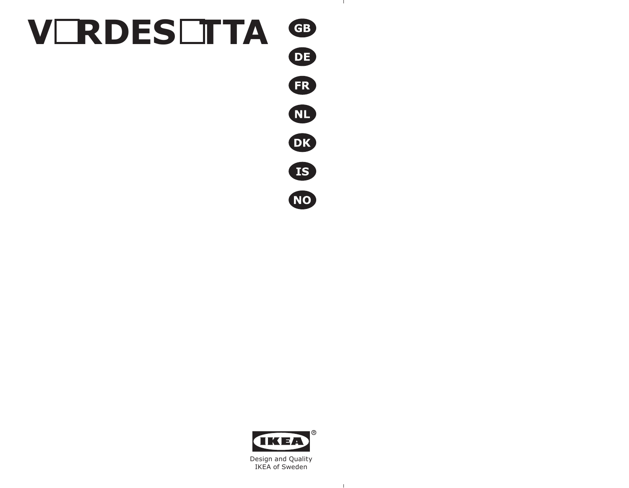



 $\mathbf{1}$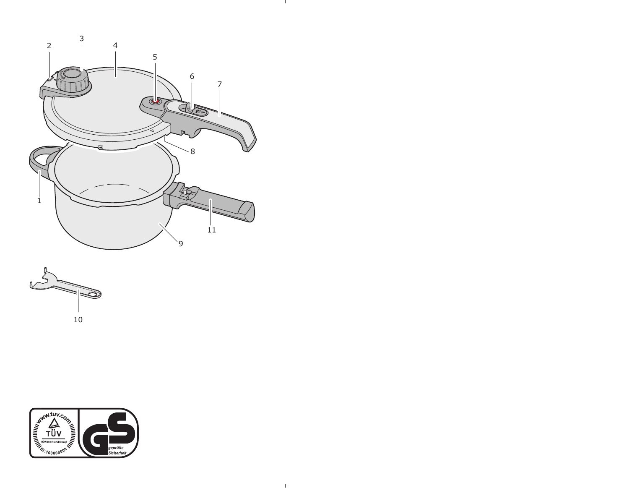

- 12

 $\sim 10^{-5}$ 



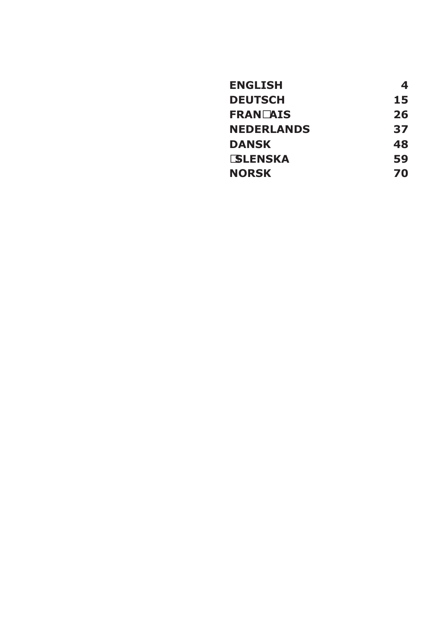| <b>ENGLISH</b>    | 4  |
|-------------------|----|
| <b>DEUTSCH</b>    | 15 |
| <b>FRANÇAIS</b>   | 26 |
| <b>NEDERLANDS</b> | 37 |
| <b>DANSK</b>      | 48 |
| Í <b>SLENSKA</b>  | 59 |
| <b>NORSK</b>      | 70 |
|                   |    |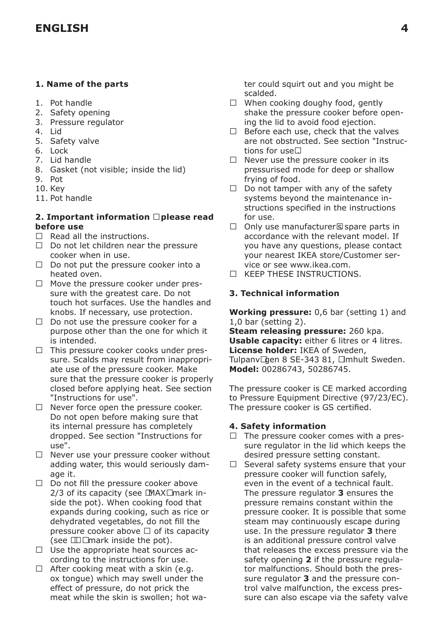# **1. Name of the parts**

- 1. Pot handle
- 2. Safety opening
- 3. Pressure regulator
- 4. Lid
- 5. Safety valve
- 6. Lock
- 7. Lid handle
- 8. Gasket (not visible; inside the lid)
- 9. Pot
- 10. Key
- 11. Pot handle

# **2. Important information – please read before use**

- Read all the instructions.
- Do not let children near the pressure cooker when in use.
- Do not put the pressure cooker into a heated oven.
- Move the pressure cooker under pressure with the greatest care. Do not touch hot surfaces. Use the handles and knobs. If necessary, use protection.
- Do not use the pressure cooker for a purpose other than the one for which it is intended.
- This pressure cooker cooks under pressure. Scalds may result from inappropriate use of the pressure cooker. Make sure that the pressure cooker is properly closed before applying heat. See section "Instructions for use".
- Never force open the pressure cooker. Do not open before making sure that its internal pressure has completely dropped. See section "Instructions for use".
- Never use your pressure cooker without adding water, this would seriously damage it.
- Do not fill the pressure cooker above 2/3 of its capacity (see "MAX" mark inside the pot). When cooking food that expands during cooking, such as rice or dehydrated vegetables, do not fill the pressure cooker above ½ of its capacity (see "½" mark inside the pot).
- Use the appropriate heat sources according to the instructions for use.
- After cooking meat with a skin (e.g. ox tongue) which may swell under the effect of pressure, do not prick the meat while the skin is swollen; hot wa-

ter could squirt out and you might be scalded.

- When cooking doughy food, gently shake the pressure cooker before opening the lid to avoid food ejection.
- Before each use, check that the valves are not obstructed. See section "Instructions for use".
- Never use the pressure cooker in its pressurised mode for deep or shallow frying of food.
- Do not tamper with any of the safety systems beyond the maintenance instructions specified in the instructions for use.
- Only use manufacturer's spare parts in accordance with the relevant model. If you have any questions, please contact your nearest IKEA store/Customer service or see www.ikea.com.
- KEEP THESE INSTRUCTIONS.

# **3. Technical information**

**Working pressure:** 0,6 bar (setting 1) and 1,0 bar (setting 2).

**Steam releasing pressure:** 260 kpa. **Usable capacity:** either 6 litres or 4 litres. **License holder:** IKEA of Sweden, Tulpanvägen 8 SE-343 81, Älmhult Sweden. **Model:** 00286743, 50286745.

The pressure cooker is CE marked according to Pressure Equipment Directive (97/23/EC). The pressure cooker is GS certified.

# **4. Safety information**

- The pressure cooker comes with a pressure regulator in the lid which keeps the desired pressure setting constant.
- Several safety systems ensure that your pressure cooker will function safely, even in the event of a technical fault. The pressure regulator **3** ensures the pressure remains constant within the pressure cooker. It is possible that some steam may continuously escape during use. In the pressure regulator **3** there is an additional pressure control valve that releases the excess pressure via the safety opening **2** if the pressure regulator malfunctions. Should both the pressure regulator **3** and the pressure control valve malfunction, the excess pressure can also escape via the safety valve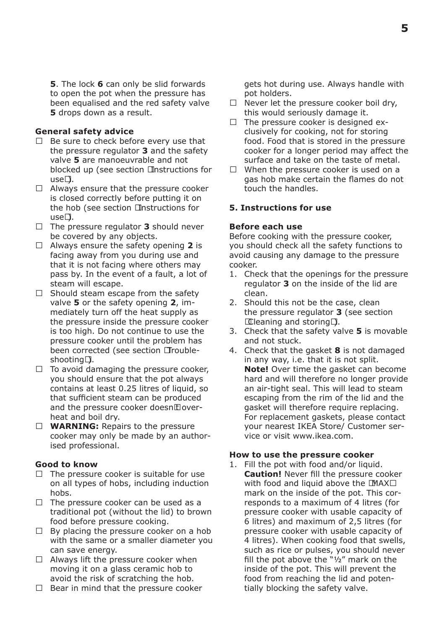**5**. The lock **6** can only be slid forwards to open the pot when the pressure has been equalised and the red safety valve **5** drops down as a result.

#### **General safety advice**

- Be sure to check before every use that the pressure regulator **3** and the safety valve **5** are manoeuvrable and not blocked up (see section "Instructions for use").
- Always ensure that the pressure cooker is closed correctly before putting it on the hob (see section "Instructions for use").
- The pressure regulator **3** should never be covered by any objects.
- Always ensure the safety opening **2** is facing away from you during use and that it is not facing where others may pass by. In the event of a fault, a lot of steam will escape.
- Should steam escape from the safety valve **5** or the safety opening **2**, immediately turn off the heat supply as the pressure inside the pressure cooker is too high. Do not continue to use the pressure cooker until the problem has been corrected (see section "Troubleshooting").
- To avoid damaging the pressure cooker, you should ensure that the pot always contains at least 0.25 litres of liquid, so that sufficient steam can be produced and the pressure cooker doesn't overheat and boil dry.
- **WARNING:** Repairs to the pressure cooker may only be made by an authorised professional.

# **Good to know**

- The pressure cooker is suitable for use on all types of hobs, including induction hobs.
- The pressure cooker can be used as a traditional pot (without the lid) to brown food before pressure cooking.
- By placing the pressure cooker on a hob with the same or a smaller diameter you can save energy.
- Always lift the pressure cooker when moving it on a glass ceramic hob to avoid the risk of scratching the hob.
- Bear in mind that the pressure cooker

gets hot during use. Always handle with pot holders.

- Never let the pressure cooker boil dry, this would seriously damage it.
- The pressure cooker is designed exclusively for cooking, not for storing food. Food that is stored in the pressure cooker for a longer period may affect the surface and take on the taste of metal.
- When the pressure cooker is used on a gas hob make certain the flames do not touch the handles.

#### **5. Instructions for use**

## **Before each use**

Before cooking with the pressure cooker, you should check all the safety functions to avoid causing any damage to the pressure cooker.

- 1. Check that the openings for the pressure regulator **3** on the inside of the lid are clean.
- 2. Should this not be the case, clean the pressure regulator **3** (see section "Cleaning and storing").
- 3. Check that the safety valve **5** is movable and not stuck.
- 4. Check that the gasket **8** is not damaged in any way, i.e. that it is not split. **Note!** Over time the gasket can become hard and will therefore no longer provide an air-tight seal. This will lead to steam escaping from the rim of the lid and the gasket will therefore require replacing. For replacement gaskets, please contact your nearest IKEA Store/ Customer service or visit www.ikea.com.

#### **How to use the pressure cooker**

1. Fill the pot with food and/or liquid. **Caution!** Never fill the pressure cooker with food and liquid above the "MAX" mark on the inside of the pot. This corresponds to a maximum of 4 litres (for pressure cooker with usable capacity of 6 litres) and maximum of 2,5 litres (for pressure cooker with usable capacity of 4 litres). When cooking food that swells, such as rice or pulses, you should never fill the pot above the "½" mark on the inside of the pot. This will prevent the food from reaching the lid and potentially blocking the safety valve.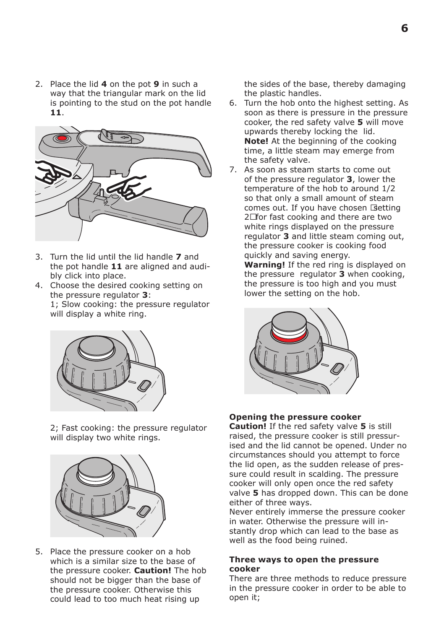2. Place the lid **4** on the pot **9** in such a way that the triangular mark on the lid is pointing to the stud on the pot handle **11**.



- 3. Turn the lid until the lid handle **7** and the pot handle **11** are aligned and audibly click into place.
- 4. Choose the desired cooking setting on the pressure regulator **3**: 1; Slow cooking: the pressure regulator will display a white ring.



2; Fast cooking: the pressure regulator will display two white rings.



5. Place the pressure cooker on a hob which is a similar size to the base of the pressure cooker. **Caution!** The hob should not be bigger than the base of the pressure cooker. Otherwise this could lead to too much heat rising up

the sides of the base, thereby damaging the plastic handles.

- 6. Turn the hob onto the highest setting. As soon as there is pressure in the pressure cooker, the red safety valve **5** will move upwards thereby locking the lid. **Note!** At the beginning of the cooking time, a little steam may emerge from the safety valve.
- 7. As soon as steam starts to come out of the pressure regulator **3**, lower the temperature of the hob to around 1/2 so that only a small amount of steam comes out. If you have chosen "setting 2" for fast cooking and there are two white rings displayed on the pressure regulator **3** and little steam coming out, the pressure cooker is cooking food quickly and saving energy.

**Warning!** If the red ring is displayed on the pressure regulator **3** when cooking, the pressure is too high and you must lower the setting on the hob.



## **Opening the pressure cooker**

**Caution!** If the red safety valve **5** is still raised, the pressure cooker is still pressurised and the lid cannot be opened. Under no circumstances should you attempt to force the lid open, as the sudden release of pressure could result in scalding. The pressure cooker will only open once the red safety valve **5** has dropped down. This can be done either of three ways.

Never entirely immerse the pressure cooker in water. Otherwise the pressure will instantly drop which can lead to the base as well as the food being ruined.

#### **Three ways to open the pressure cooker**

There are three methods to reduce pressure in the pressure cooker in order to be able to open it;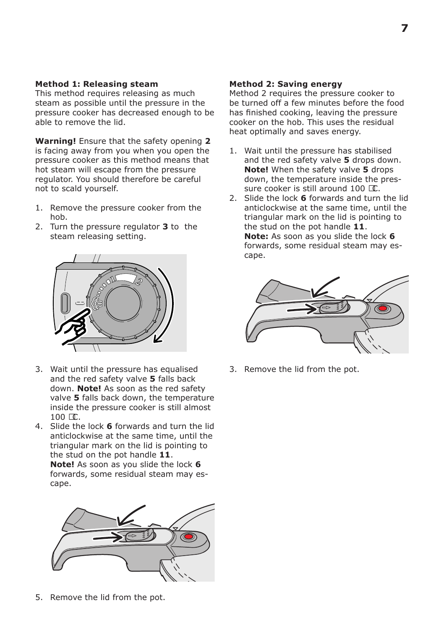# **Method 1: Releasing steam**

This method requires releasing as much steam as possible until the pressure in the pressure cooker has decreased enough to be able to remove the lid.

**Warning!** Ensure that the safety opening **2** is facing away from you when you open the pressure cooker as this method means that hot steam will escape from the pressure regulator. You should therefore be careful not to scald yourself.

- 1. Remove the pressure cooker from the hob.
- 2. Turn the pressure regulator **3** to the steam releasing setting.



3. Wait until the pressure has equalised and the red safety valve **5** falls back down. **Note!** As soon as the red safety valve **5** falls back down, the temperature inside the pressure cooker is still almost  $100 °C$ .

4. Slide the lock **6** forwards and turn the lid anticlockwise at the same time, until the triangular mark on the lid is pointing to the stud on the pot handle **11**. **Note!** As soon as you slide the lock **6** forwards, some residual steam may escape.



5. Remove the lid from the pot.

# **Method 2: Saving energy**

Method 2 requires the pressure cooker to be turned off a few minutes before the food has finished cooking, leaving the pressure cooker on the hob. This uses the residual heat optimally and saves energy.

- 1. Wait until the pressure has stabilised and the red safety valve **5** drops down. **Note!** When the safety valve **5** drops down, the temperature inside the pressure cooker is still around 100 °C.
- 2. Slide the lock **6** forwards and turn the lid anticlockwise at the same time, until the triangular mark on the lid is pointing to the stud on the pot handle **11**. **Note:** As soon as you slide the lock **6** forwards, some residual steam may escape.



3. Remove the lid from the pot.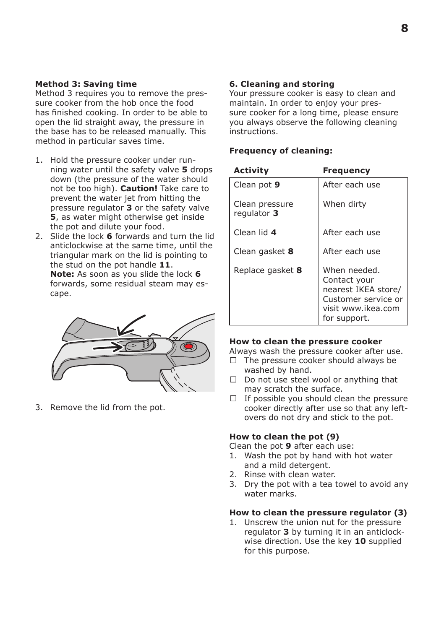## **Method 3: Saving time**

Method 3 requires you to remove the pressure cooker from the hob once the food has finished cooking. In order to be able to open the lid straight away, the pressure in the base has to be released manually. This method in particular saves time.

- 1. Hold the pressure cooker under running water until the safety valve **5** drops down (the pressure of the water should not be too high). **Caution!** Take care to prevent the water jet from hitting the pressure regulator **3** or the safety valve **5**, as water might otherwise get inside the pot and dilute your food.
- 2. Slide the lock **6** forwards and turn the lid anticlockwise at the same time, until the triangular mark on the lid is pointing to the stud on the pot handle **11**. **Note:** As soon as you slide the lock **6** forwards, some residual steam may escape.

3. Remove the lid from the pot.

# **6. Cleaning and storing**

Your pressure cooker is easy to clean and maintain. In order to enjoy your pressure cooker for a long time, please ensure you always observe the following cleaning instructions.

#### **Frequency of cleaning:**

| Activity                      | Frequency                                                                                                        |
|-------------------------------|------------------------------------------------------------------------------------------------------------------|
| Clean pot 9                   | After each use                                                                                                   |
| Clean pressure<br>regulator 3 | When dirty                                                                                                       |
| Clean lid 4                   | After each use                                                                                                   |
| Clean gasket 8                | After each use                                                                                                   |
| Replace gasket 8              | When needed.<br>Contact your<br>nearest IKEA store/<br>Customer service or<br>visit www.ikea.com<br>for support. |

#### **How to clean the pressure cooker**

Always wash the pressure cooker after use.

- The pressure cooker should always be washed by hand.
- Do not use steel wool or anything that may scratch the surface.
- If possible you should clean the pressure cooker directly after use so that any leftovers do not dry and stick to the pot.

## **How to clean the pot (9)**

Clean the pot **9** after each use:

- 1. Wash the pot by hand with hot water and a mild detergent.
- 2. Rinse with clean water.
- 3. Dry the pot with a tea towel to avoid any water marks.

## **How to clean the pressure regulator (3)**

1. Unscrew the union nut for the pressure regulator **3** by turning it in an anticlockwise direction. Use the key **10** supplied for this purpose.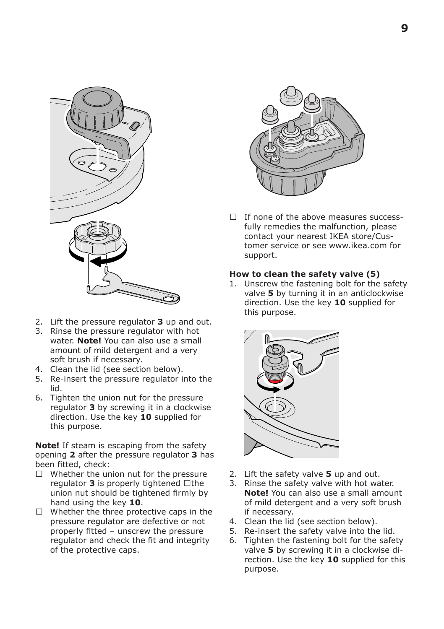

- 2. Lift the pressure regulator **3** up and out.
- 3. Rinse the pressure regulator with hot water. **Note!** You can also use a small amount of mild detergent and a very soft brush if necessary.
- 4. Clean the lid (see section below).
- 5. Re-insert the pressure regulator into the lid.
- 6. Tighten the union nut for the pressure regulator **3** by screwing it in a clockwise direction. Use the key **10** supplied for this purpose.

**Note!** If steam is escaping from the safety opening **2** after the pressure regulator **3** has been fitted, check:

- Whether the union nut for the pressure regulator **3** is properly tightened – the union nut should be tightened firmly by hand using the key **10**.
- Whether the three protective caps in the pressure regulator are defective or not properly fitted – unscrew the pressure regulator and check the fit and integrity of the protective caps.



— If none of the above measures successfully remedies the malfunction, please contact your nearest IKEA store/Customer service or see www.ikea.com for support.

## **How to clean the safety valve (5)**

1. Unscrew the fastening bolt for the safety valve **5** by turning it in an anticlockwise direction. Use the key **10** supplied for this purpose.



- 2. Lift the safety valve **5** up and out.
- 3. Rinse the safety valve with hot water. **Note!** You can also use a small amount of mild detergent and a very soft brush if necessary.
- 4. Clean the lid (see section below).
- 5. Re-insert the safety valve into the lid.
- 6. Tighten the fastening bolt for the safety valve **5** by screwing it in a clockwise direction. Use the key **10** supplied for this purpose.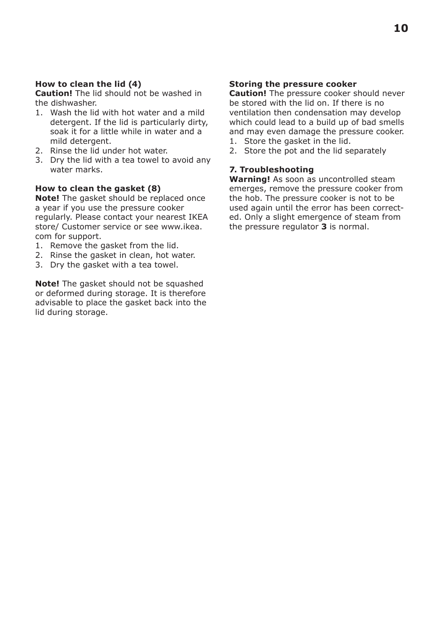# **How to clean the lid (4)**

**Caution!** The lid should not be washed in the dishwasher.

- 1. Wash the lid with hot water and a mild detergent. If the lid is particularly dirty, soak it for a little while in water and a mild detergent.
- 2. Rinse the lid under hot water.
- 3. Dry the lid with a tea towel to avoid any water marks.

## **How to clean the gasket (8)**

**Note!** The gasket should be replaced once a year if you use the pressure cooker regularly. Please contact your nearest IKEA store/ Customer service or see www.ikea. com for support.

- 1. Remove the gasket from the lid.
- 2. Rinse the gasket in clean, hot water.
- 3. Dry the gasket with a tea towel.

**Note!** The gasket should not be squashed or deformed during storage. It is therefore advisable to place the gasket back into the lid during storage.

# **Storing the pressure cooker**

**Caution!** The pressure cooker should never be stored with the lid on. If there is no ventilation then condensation may develop which could lead to a build up of bad smells and may even damage the pressure cooker.

- 1. Store the gasket in the lid.
- 2. Store the pot and the lid separately

# **7. Troubleshooting**

**Warning!** As soon as uncontrolled steam emerges, remove the pressure cooker from the hob. The pressure cooker is not to be used again until the error has been corrected. Only a slight emergence of steam from the pressure regulator **3** is normal.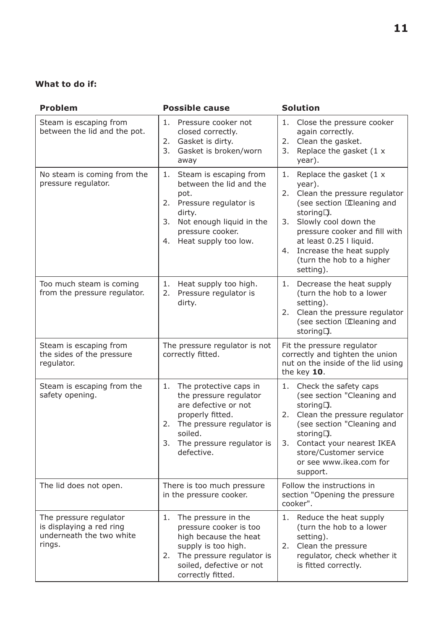# **What to do if:**

| Problem                                                                                  | <b>Possible cause</b>                                                                                                                                                                          | <b>Solution</b>                                                                                                                                                                                                                                                                                 |
|------------------------------------------------------------------------------------------|------------------------------------------------------------------------------------------------------------------------------------------------------------------------------------------------|-------------------------------------------------------------------------------------------------------------------------------------------------------------------------------------------------------------------------------------------------------------------------------------------------|
| Steam is escaping from<br>between the lid and the pot.                                   | 1.<br>Pressure cooker not<br>closed correctly.<br>2. Gasket is dirty.<br>3.<br>Gasket is broken/worn<br>away                                                                                   | 1.<br>Close the pressure cooker<br>again correctly.<br>Clean the gasket.<br>2.<br>Replace the gasket (1 x<br>3.<br>year).                                                                                                                                                                       |
| No steam is coming from the<br>pressure regulator.                                       | Steam is escaping from<br>1.<br>between the lid and the<br>pot.<br>2. Pressure regulator is<br>dirty.<br>Not enough liquid in the<br>3.<br>pressure cooker.<br>Heat supply too low.<br>4.      | Replace the gasket (1 x<br>1.<br>year).<br>Clean the pressure regulator<br>2.<br>(see section "Cleaning and<br>storing").<br>Slowly cool down the<br>3.<br>pressure cooker and fill with<br>at least 0.25 l liquid.<br>Increase the heat supply<br>4.<br>(turn the hob to a higher<br>setting). |
| Too much steam is coming<br>from the pressure regulator.                                 | 1.<br>Heat supply too high.<br>Pressure regulator is<br>2.<br>dirty.                                                                                                                           | Decrease the heat supply<br>1.<br>(turn the hob to a lower<br>setting).<br>2.<br>Clean the pressure regulator<br>(see section "Cleaning and<br>storing").                                                                                                                                       |
| Steam is escaping from<br>the sides of the pressure<br>requlator.                        | The pressure regulator is not<br>correctly fitted.                                                                                                                                             | Fit the pressure regulator<br>correctly and tighten the union<br>nut on the inside of the lid using<br>the key $10$ .                                                                                                                                                                           |
| Steam is escaping from the<br>safety opening.                                            | The protective caps in<br>1.<br>the pressure regulator<br>are defective or not<br>properly fitted.<br>2. The pressure regulator is<br>soiled.<br>3.<br>The pressure regulator is<br>defective. | Check the safety caps<br>1.<br>(see section "Cleaning and<br>storing").<br>Clean the pressure regulator<br>2.<br>(see section "Cleaning and<br>storing").<br>Contact your nearest IKEA<br>3.<br>store/Customer service<br>or see www.ikea.com for<br>support.                                   |
| The lid does not open.                                                                   | There is too much pressure<br>in the pressure cooker.                                                                                                                                          | Follow the instructions in<br>section "Opening the pressure<br>cooker".                                                                                                                                                                                                                         |
| The pressure regulator<br>is displaying a red ring<br>underneath the two white<br>rings. | 1.<br>The pressure in the<br>pressure cooker is too<br>high because the heat<br>supply is too high.<br>2.<br>The pressure regulator is<br>soiled, defective or not<br>correctly fitted.        | 1. Reduce the heat supply<br>(turn the hob to a lower<br>setting).<br>Clean the pressure<br>2.<br>regulator, check whether it<br>is fitted correctly.                                                                                                                                           |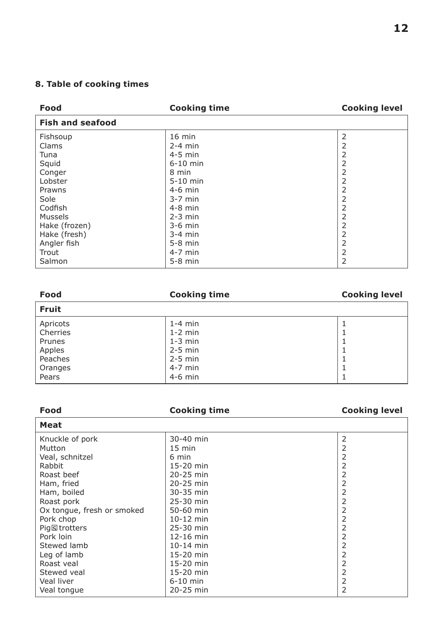# **8. Table of cooking times**

| Food                    | <b>Cooking time</b> | <b>Cooking level</b> |
|-------------------------|---------------------|----------------------|
| <b>Fish and seafood</b> |                     |                      |
| Fishsoup                | 16 min              | 2                    |
| Clams                   | $2-4$ min           | 2                    |
| Tuna                    | $4-5$ min           | 2                    |
| Squid                   | $6-10$ min          | 2                    |
| Conger                  | 8 min               | 2                    |
| Lobster                 | $5-10$ min          | $\overline{2}$       |
| Prawns                  | $4-6$ min           | 2                    |
| Sole                    | $3-7$ min           | 2                    |
| Codfish                 | $4-8$ min           | 2                    |
| Mussels                 | $2-3$ min           | 2                    |
| Hake (frozen)           | $3-6$ min           | 2                    |
| Hake (fresh)            | $3-4$ min           | 2                    |
| Angler fish             | $5-8$ min           | 2                    |
| Trout                   | $4-7$ min           | 2                    |
| Salmon                  | $5-8$ min           | $\overline{2}$       |

| Food                                                                    | <b>Cooking time</b>                                                                     | <b>Cooking level</b> |
|-------------------------------------------------------------------------|-----------------------------------------------------------------------------------------|----------------------|
| <b>Fruit</b>                                                            |                                                                                         |                      |
| Apricots<br>Cherries<br>Prunes<br>Apples<br>Peaches<br>Oranges<br>Pears | $1-4$ min<br>$1-2$ min<br>$1-3$ min<br>$2-5$ min<br>$2-5$ min<br>$4-7$ min<br>$4-6$ min |                      |

| Food                       | <b>Cooking time</b> | <b>Cooking level</b> |
|----------------------------|---------------------|----------------------|
| Meat                       |                     |                      |
| Knuckle of pork            | 30-40 min           | 2                    |
| Mutton                     | $15 \text{ min}$    | 2                    |
| Veal, schnitzel            | 6 min               | 2                    |
| Rabbit                     | $15-20$ min         | 2                    |
| Roast beef                 | 20-25 min           | 2                    |
| Ham, fried                 | 20-25 min           | 2                    |
| Ham, boiled                | 30-35 min           | 2                    |
| Roast pork                 | 25-30 min           | 2                    |
| Ox tongue, fresh or smoked | 50-60 min           | 2                    |
| Pork chop                  | 10-12 min           | 2                    |
| Pig's trotters             | 25-30 min           | 2                    |
| Pork loin                  | 12-16 min           | 2                    |
| Stewed lamb                | $10 - 14$ min       | 2                    |
| Leg of lamb                | 15-20 min           | 2                    |
| Roast yeal                 | 15-20 min           | 2                    |
| Stewed yeal                | 15-20 min           | 2                    |
| Veal liver                 | $6-10$ min          | 2                    |
| Veal tonque                | 20-25 min           | 2                    |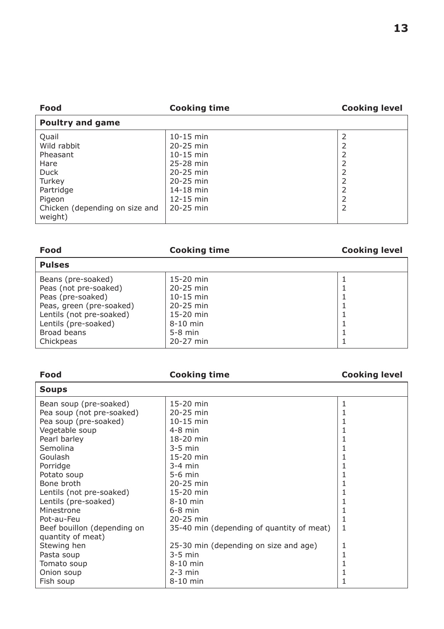| $10-15$ min<br>$20 - 25$ min<br>$10-15$ min<br>25-28 min<br>$20 - 25$ min<br>$20 - 25$ min<br>14-18 min<br>$12-15$ min<br>20-25 min | 2 |
|-------------------------------------------------------------------------------------------------------------------------------------|---|
|                                                                                                                                     |   |

| Food                                                                                                                                                            | <b>Cooking time</b>                                                                                | <b>Cooking level</b> |
|-----------------------------------------------------------------------------------------------------------------------------------------------------------------|----------------------------------------------------------------------------------------------------|----------------------|
| <b>Pulses</b>                                                                                                                                                   |                                                                                                    |                      |
| Beans (pre-soaked)<br>Peas (not pre-soaked)<br>Peas (pre-soaked)<br>Peas, green (pre-soaked)<br>Lentils (not pre-soaked)<br>Lentils (pre-soaked)<br>Broad beans | $15-20$ min<br>$20-25$ min<br>$10 - 15$ min<br>$20-25$ min<br>15-20 min<br>$8-10$ min<br>$5-8$ min |                      |
| Chickpeas                                                                                                                                                       | 20-27 min                                                                                          |                      |

| Food                        | <b>Cooking time</b>                       | <b>Cooking level</b> |
|-----------------------------|-------------------------------------------|----------------------|
| <b>Soups</b>                |                                           |                      |
| Bean soup (pre-soaked)      | 15-20 min                                 | 1                    |
| Pea soup (not pre-soaked)   | 20-25 min                                 |                      |
| Pea soup (pre-soaked)       | $10-15$ min                               |                      |
| Vegetable soup              | $4-8$ min                                 |                      |
| Pearl barley                | 18-20 min                                 |                      |
| Semolina                    | $3-5$ min                                 |                      |
| Goulash                     | 15-20 min                                 |                      |
| Porridge                    | $3-4$ min                                 |                      |
| Potato soup                 | $5-6$ min                                 |                      |
| Bone broth                  | 20-25 min                                 |                      |
| Lentils (not pre-soaked)    | 15-20 min                                 |                      |
| Lentils (pre-soaked)        | $8-10$ min                                |                      |
| Minestrone                  | $6-8$ min                                 |                      |
| Pot-au-Feu                  | 20-25 min                                 | 1                    |
| Beef bouillon (depending on | 35-40 min (depending of quantity of meat) | $\mathbf{1}$         |
| quantity of meat)           |                                           |                      |
| Stewing hen                 | 25-30 min (depending on size and age)     | 1                    |
| Pasta soup                  | $3-5$ min                                 | 1                    |
| Tomato soup                 | 8-10 min                                  | 1                    |
| Onion soup                  | $2-3$ min                                 |                      |
| Fish soup                   | 8-10 min                                  |                      |

# **13**